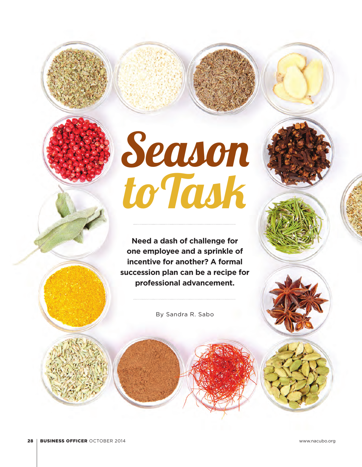# Season to Task

**Need a dash of challenge for one employee and a sprinkle of incentive for another? A formal succession plan can be a recipe for professional advancement.**

By Sandra R. Sabo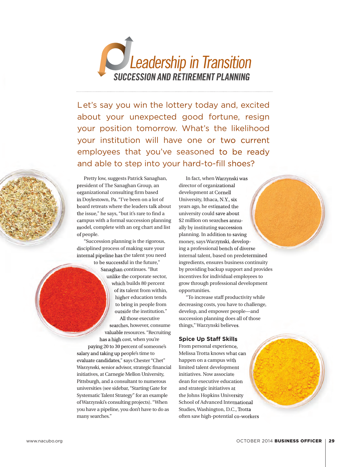

Let's say you win the lottery today and, excited about your unexpected good fortune, resign your position tomorrow. What's the likelihood your institution will have one or two current employees that you've seasoned to be ready and able to step into your hard-to-fill shoes?



Pretty low, suggests Patrick Sanaghan, president of The Sanaghan Group, an organizational consulting firm based in Doylestown, Pa. "I've been on a lot of board retreats where the leaders talk about the issue," he says, "but it's rare to find a campus with a formal succession planning model, complete with an org chart and list of people.

"Succession planning is the rigorous, disciplined process of making sure your internal pipeline has the talent you need to be successful in the future,"

Sanaghan continues. "But unlike the corporate sector, which builds 80 percent of its talent from within, higher education tends to bring in people from outside the institution." All those executive searches, however, consume valuable resources. "Recruiting has a high cost, when you're paying 20 to 30 percent of someone's salary and taking up people's time to evaluate candidates," says Chester "Chet" Warzynski, senior advisor, strategic financial initiatives, at Carnegie Mellon University, Pittsburgh, and a consultant to numerous universities (see sidebar, "Starting Gate for Systematic Talent Strategy" for an example of Warzynski's consulting projects). "When you have a pipeline, you don't have to do as many searches."

In fact, when Warzynski was director of organizational development at Cornell University, Ithaca, N.Y., six years ago, he estimated the university could save about \$2 million on searches annually by instituting succession planning. In addition to saving money, says Warzynski, developing a professional bench of diverse internal talent, based on predetermined ingredients, ensures business continuity by providing backup support and provides incentives for individual employees to grow through professional development opportunities.

"To increase staff productivity while decreasing costs, you have to challenge, develop, and empower people—and succession planning does all of those things," Warzynski believes.

#### **Spice Up Staff Skills**

From personal experience, Melissa Trotta knows what can happen on a campus with limited talent development initiatives. Now associate dean for executive education and strategic initiatives at the Johns Hopkins University School of Advanced International Studies, Washington, D.C., Trotta often saw high-potential co-workers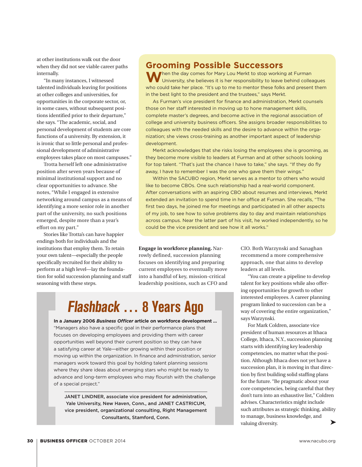at other institutions walk out the door when they did not see viable career paths internally.

"In many instances, I witnessed talented individuals leaving for positions at other colleges and universities, for opportunities in the corporate sector, or, in some cases, without subsequent positions identified prior to their departure," she says. "The academic, social, and personal development of students are core functions of a university. By extension, it is ironic that so little personal and professional development of administrative employees takes place on most campuses."

Trotta herself left one administrative position after seven years because of minimal institutional support and no clear opportunities to advance. She notes, "While I engaged in extensive networking around campus as a means of identifying a more senior role in another part of the university, no such positions emerged, despite more than a year's effort on my part."

Stories like Trotta's can have happier endings both for individuals and the institutions that employ them. To retain your own talent—especially the people specifically recruited for their ability to perform at a high level—lay the foundation for solid succession planning and staff seasoning with these steps.

## **Grooming Possible Successors**

**M** hen the day comes for Mary Lou Merkt to stop working at Furman University, she believes it is her responsibility to leave behind colleagues who could take her place. "It's up to me to mentor these folks and present them in the best light to the president and the trustees," says Merkt.

As Furman's vice president for finance and administration, Merkt counsels those on her staff interested in moving up to hone management skills, complete master's degrees, and become active in the regional association of college and university business officers. She assigns broader responsibilities to colleagues with the needed skills and the desire to advance within the organization; she views cross-training as another important aspect of leadership development.

Merkt acknowledges that she risks losing the employees she is grooming, as they become more visible to leaders at Furman and at other schools looking for top talent. "That's just the chance I have to take," she says. "If they do fly away, I have to remember I was the one who gave them their wings."

Within the SACUBO region, Merkt serves as a mentor to others who would like to become CBOs. One such relationship had a real-world component. After conversations with an aspiring CBO about resumes and interviews, Merkt extended an invitation to spend time in her office at Furman. She recalls, "The first two days, he joined me for meetings and participated in all other aspects of my job, to see how to solve problems day to day and maintain relationships across campus. Near the latter part of his visit, he worked independently, so he could be the vice president and see how it all works."

**Engage in workforce planning.** Narrowly defined, succession planning focuses on identifying and preparing current employees to eventually move into a handful of key, mission-critical leadership positions, such as CFO and

## **Flashback … 8 Years Ago**

**In a January 2006** *Business Officer* **article on workforce development …** "Managers also have a specific goal in their performance plans that focuses on developing employees and providing them with career opportunities well beyond their current position so they can have a satisfying career at Yale—either growing within their position or moving up within the organization. In finance and administration, senior managers work toward this goal by holding talent planning sessions where they share ideas about emerging stars who might be ready to advance and long-term employees who may flourish with the challenge of a special project."

JANET LINDNER, associate vice president for administration, Yale University, New Haven, Conn., and JANET CASTRICUM, vice president, organizational consulting, Right Management Consultants, Stamford, Conn.

CIO. Both Warzynski and Sanaghan recommend a more comprehensive approach, one that aims to develop leaders at all levels.

"You can create a pipeline to develop talent for key positions while also offering opportunities for growth to other interested employees. A career planning program linked to succession can be a way of covering the entire organization," says Warzynski.

For Mark Coldren, associate vice president of human resources at Ithaca College, Ithaca, N.Y., succession planning starts with identifying key leadership competencies, no matter what the position. Although Ithaca does not yet have a succession plan, it is moving in that direction by first building solid staffing plans for the future. "Be pragmatic about your core competencies, being careful that they don't turn into an exhaustive list," Coldren advises. Characteristics might include such attributes as strategic thinking, ability to manage, business knowledge, and ➤ valuing diversity.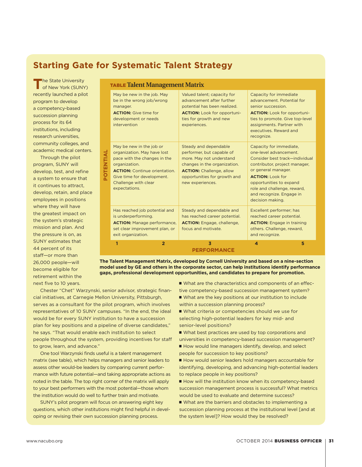## **Starting Gate for Systematic Talent Strategy**

The State University<br>
of New York (SUNY) recently launched a pilot program to develop a competency-based succession planning process for its 64 institutions, including research universities, community colleges, and academic medical centers.

Through the pilot program, SUNY will develop, test, and refine a system to ensure that it continues to attract, develop, retain, and place employees in positions where they will have the greatest impact on the system's strategic mission and plan. And the pressure is on, as SUNY estimates that 44 percent of its staff—or more than 26,000 people—will become eligible for retirement within the next five to 10 years.

| <b>TABLE Talent Management Matrix</b> |                                                                                                                                                                                                                         |                                                                                                                                                                                                       |                                                                                                                                                                                                                                                                                  |
|---------------------------------------|-------------------------------------------------------------------------------------------------------------------------------------------------------------------------------------------------------------------------|-------------------------------------------------------------------------------------------------------------------------------------------------------------------------------------------------------|----------------------------------------------------------------------------------------------------------------------------------------------------------------------------------------------------------------------------------------------------------------------------------|
| <b>NUTRINTIA</b>                      | May be new in the job. May<br>be in the wrong job/wrong<br>manager.<br><b>ACTION:</b> Give time for<br>development or needs<br>intervention                                                                             | Valued talent; capacity for<br>advancement after further<br>potential has been realized.<br><b>ACTION:</b> Look for opportuni-<br>ties for growth and new<br>experiences.                             | Capacity for immediate<br>advancement. Potential for<br>senior succession.<br><b>ACTION:</b> Look for opportuni-<br>ties to promote. Give top-level<br>assignments. Partner with<br>executives Reward and<br>recognize.                                                          |
|                                       | May be new in the job or<br>organization. May have lost<br>pace with the changes in the<br>organization.<br><b>ACTION:</b> Continue orientation.<br>Give time for development.<br>Challenge with clear<br>expectations. | Steady and dependable<br>performer, but capable of<br>more. May not understand<br>changes in the organization.<br><b>ACTION:</b> Challenge, allow<br>opportunities for growth and<br>new experiences. | Capacity for immediate,<br>one-level advancement.<br>Consider best track-individual<br>contributor, project manager,<br>or general manager.<br><b>ACTION: Look for</b><br>opportunities to expand<br>role and challenge, reward,<br>and recognize. Engage in<br>decision making. |
|                                       | Has reached job potential and<br>is underperforming.<br><b>ACTION:</b> Manage performance,<br>set clear improvement plan, or<br>exit organization.                                                                      | Steady and dependable and<br>has reached career potential.<br><b>ACTION:</b> Engage, challenge,<br>focus and motivate.                                                                                | Excellent performer; has<br>reached career potential.<br><b>ACTION:</b> Engage in training<br>others. Challenge, reward,<br>and recognize.                                                                                                                                       |
|                                       | 1<br>$\overline{2}$                                                                                                                                                                                                     | $\overline{\mathbf{3}}$<br><b>PERFORMANCE</b>                                                                                                                                                         | $\overline{\mathbf{A}}$<br>5                                                                                                                                                                                                                                                     |

**The Talent Management Matrix, developed by Cornell University and based on a nine-section model used by GE and others in the corporate sector, can help institutions identify performance gaps, professional development opportunities, and candidates to prepare for promotion.**

Chester "Chet" Warzynski, senior advisor, strategic financial initiatives, at Carnegie Mellon University, Pittsburgh, serves as a consultant for the pilot program, which involves representatives of 10 SUNY campuses. "In the end, the ideal would be for every SUNY institution to have a succession plan for key positions and a pipeline of diverse candidates," he says. "That would enable each institution to select people throughout the system, providing incentives for staff to grow, learn, and advance."

One tool Warzynski finds useful is a talent management matrix (see table), which helps managers and senior leaders to assess other would-be leaders by comparing current performance with future potential—and taking appropriate actions as noted in the table. The top right corner of the matrix will apply to your best performers with the most potential—those whom the institution would do well to further train and motivate.

SUNY's pilot program will focus on answering eight key questions, which other institutions might find helpful in developing or revising their own succession planning process.

■ What are the characteristics and components of an effective competency-based succession management system?

- $\blacksquare$  What are the key positions at our institution to include within a succession planning process?
- $\blacksquare$  What criteria or competencies should we use for selecting high-potential leaders for key mid- and senior-level positions?

■ What best practices are used by top corporations and universities in competency-based succession management? ■ How would line managers identify, develop, and select

people for succession to key positions? ■ How would senior leaders hold managers accountable for

identifying, developing, and advancing high-potential leaders to replace people in key positions?

 $\blacksquare$  How will the institution know when its competency-based succession management process is successful? What metrics would be used to evaluate and determine success?

 $\blacksquare$  What are the barriers and obstacles to implementing a succession planning process at the institutional level [and at the system level]? How would they be resolved?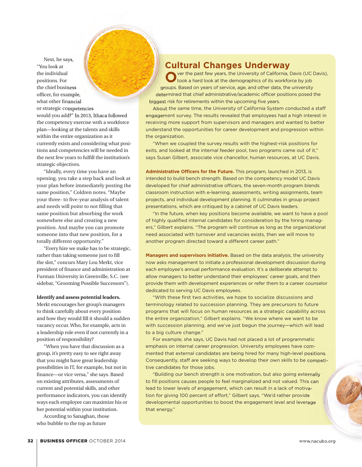Next, he says,<br>
inting the thin thinking alumin of the thing alumin of the thing alumin of the continue of the continue of the continue of the continue of the continue of the continue of the continue of the continue of the "You look at the individual positions. For the chief business officer, for example, what other financial or strategic competencies would you add?" In 2013, Ithaca followed the competency exercise with a workforce plan—looking at the talents and skills within the entire organization as it currently exists and considering what positions and competencies will be needed in the next few years to fulfill the institution's strategic objectives.

"Ideally, every time you have an opening, you take a step back and look at your plan before immediately posting the same position," Coldren notes. "Maybe your three- to five-year analysis of talent and needs will point to not filling that same position but absorbing the work somewhere else and creating a new position. And maybe you can promote someone into that new position, for a totally different opportunity."

"Every hire we make has to be strategic, rather than taking someone just to fill the slot," concurs Mary Lou Merkt, vice president of finance and administration at Furman University in Greenville, S.C. (see sidebar, "Grooming Possible Successors").

#### **Identify and assess potential leaders.**

Merkt encourages her group's managers to think carefully about every position and how they would fill it should a sudden vacancy occur. Who, for example, acts in a leadership role even if not currently in a position of responsibility?

"When you have that discussion as a group, it's pretty easy to see right away that you might have great leadership possibilities in IT, for example, but not in finance—or vice versa," she says. Based on existing attributes, assessments of current and potential skills, and other performance indicators, you can identify ways each employee can maximize his or her potential within your institution.

According to Sanaghan, those who bubble to the top as future

### **Cultural Changes Underway**

**O**ver the past few years, the University of California, Davis (UC Davis), took a hard look at the demographics of its workforce by job groups. Based on years of service, age, and other data, the university determined that chief administrative/academic officer positions posed the biggest risk for retirements within the upcoming five years.

About the same time, the University of California System conducted a staff engagement survey. The results revealed that employees had a high interest in receiving more support from supervisors and managers and wanted to better understand the opportunities for career development and progression within the organization.

"When we coupled the survey results with the highest-risk positions for exits, and looked at the internal feeder pool, two programs came out of it," says Susan Gilbert, associate vice chancellor, human resources, at UC Davis.

**Administrative Officers for the Future.** This program, launched in 2013, is intended to build bench strength. Based on the competency model UC Davis developed for chief administrative officers, the seven-month program blends classroom instruction with e-learning, assessments, writing assignments, team projects, and individual development planning. It culminates in group project presentations, which are critiqued by a cabinet of UC Davis leaders.

"In the future, when key positions become available, we want to have a pool of highly qualified internal candidates for consideration by the hiring managers," Gilbert explains. "The program will continue as long as the organizational need associated with turnover and vacancies exists, then we will move to another program directed toward a different career path."

**Managers and supervisors initiative.** Based on the data analysis, the university now asks management to initiate a professional development discussion during each employee's annual performance evaluation. It's a deliberate attempt to allow managers to better understand their employees' career goals, and then provide them with development experiences or refer them to a career counselor dedicated to serving UC Davis employees.

"With these first two activities, we hope to socialize discussions and terminology related to succession planning. They are precursors to future programs that will focus on human resources as a strategic capability across the entire organization," Gilbert explains. "We know where we want to be with succession planning, and we've just begun the journey—which will lead to a big culture change."

For example, she says, UC Davis had not placed a lot of programmatic emphasis on internal career progression. University employees have commented that external candidates are being hired for many high-level positions. Consequently, staff are seeking ways to develop their own skills to be competi-competi tive candidates for those jobs.

"Building our bench strength is one motivation, but also going externally to fill positions causes people to feel marginalized and not valued. This can lead to lower levels of engagement, which can result in a lack of motivation for giving 100 percent of effort," Gilbert says. "We'd rather provide developmental opportunities to boost the engagement level and leverage that energy."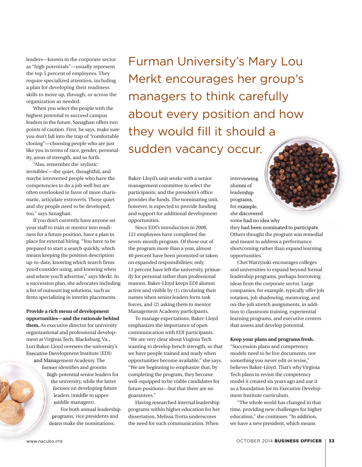leaders—known in the corporate sector as "high potentials"—usually represent the top 5 percent of employees. They require specialized attention, including a plan for developing their readiness skills to move up, through, or across the organization as needed.

When you select the people with the highest potential to succeed campus leaders in the future, Sanaghan offers two points of caution. First, he says, make sure you don't fall into the trap of "comfortable cloning"—choosing people who are just like you in terms of race, gender, personality, areas of strength, and so forth.

"Also, remember the 'stylistic invisibles'—the quiet, thoughtful, and maybe introverted people who have the competencies to do a job well but are often overlooked in favor of more charismatic, articulate extroverts. Those quiet and shy people need to be developed, too," says Sanaghan.

If you don't currently have anyone on your staff to train or mentor into readiness for a future position, have a plan in place for external hiring. "You have to be prepared to start a search quickly, which means keeping the position description up-to-date, knowing which search firms you'd consider using, and knowing when and where you'll advertise," says Merkt. In a succession plan, she advocates including a list of outsourcing solutions, such as firms specializing in interim placements.

**Provide a rich menu of development opportunities—and the rationale behind them.** As executive director for university organizational and professional development at Virginia Tech, Blacksburg, Va., Lori Baker-Lloyd oversees the university's Executive Development Institute (EDI) and Management Academy. The former identifies and grooms high-potential senior leaders for the university, while the latter focuses on developing future leaders (middle to uppermiddle managers). For both annual leadership

programs, vice presidents and deans make the nominations;

Furman University's Mary Lou Merkt encourages her group's managers to think carefully about every position and how they would fill it should a sudden vacancy occur. is a strip controlled alumni of controlled alumni of the controlled to propriate the propriations. From the propriation and the propriation are propriated at each of the particle of examples all to once the discovered some

Baker-Lloyd's unit works with a senior management committee to select the participants; and the president's office provides the funds. The nominating unit, however, is expected to provide funding and support for additional development opportunities.

Since EDI's introduction in 2008, 121 employees have completed the seven-month program. Of those out of the program more than a year, almost 40 percent have been promoted or taken on expanded responsibilities; only 11 percent have left the university, primarily for personal rather than professional reasons. Baker-Lloyd keeps EDI alumni active and visible by (1) circulating their names when senior leaders form task forces, and (2) asking them to mentor Management Academy participants.

To manage expectations, Baker-Lloyd emphasizes the importance of open communication with EDI participants. "We are very clear about Virginia Tech wanting to develop bench strength, so that we have people trained and ready when opportunities become available," she says. "We are beginning to emphasize that, by completing the program, they become well-equipped to be viable candidates for future positions—but that there are no guarantees."

Having researched internal leadership programs within higher education for her dissertation, Melissa Trotta underscores the need for such communication. When

alumni of leadership programs, for example, she discovered some had no idea why they had been nominated to participate. Others thought the program was remedial and meant to address a performance shortcoming rather than expand learning opportunities.

interviewing

Chet Warzynski encourages colleges and universities to expand beyond formal leadership programs, perhaps borrowing ideas from the corporate sector. Large companies, for example, typically offer job rotation, job shadowing, mentoring, and on-the-job stretch assignments, in addition to classroom training, experiential learning programs, and executive centers that assess and develop potential.

#### **Keep your plans and programs fresh.**

"Succession plans and competency models need to be live documents, not something you never edit or revise," believes Baker-Lloyd. That's why Virginia Tech plans to revisit the competency model it created six years ago and use it as a foundation for its Executive Development Institute curriculum.

"The whole world has changed in that time, providing new challenges for higher education," she continues. "In addition, we have a new president, which means